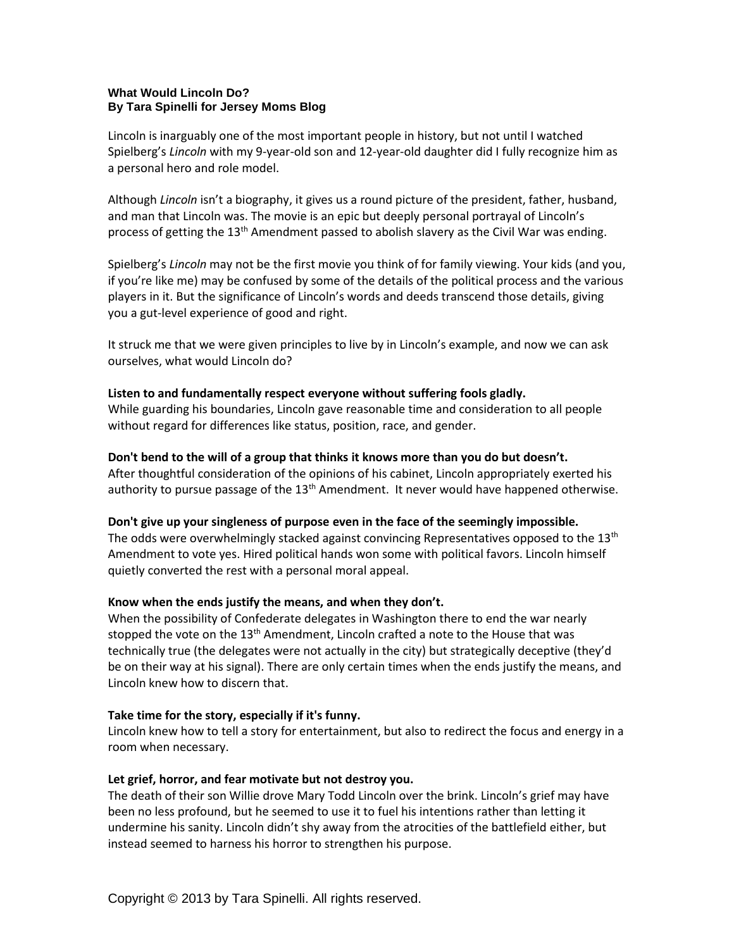### **What Would Lincoln Do? By Tara Spinelli for Jersey Moms Blog**

Lincoln is inarguably one of the most important people in history, but not until I watched Spielberg's *Lincoln* with my 9-year-old son and 12-year-old daughter did I fully recognize him as a personal hero and role model.

Although *Lincoln* isn't a biography, it gives us a round picture of the president, father, husband, and man that Lincoln was. The movie is an epic but deeply personal portrayal of Lincoln's process of getting the  $13<sup>th</sup>$  Amendment passed to abolish slavery as the Civil War was ending.

Spielberg's *Lincoln* may not be the first movie you think of for family viewing. Your kids (and you, if you're like me) may be confused by some of the details of the political process and the various players in it. But the significance of Lincoln's words and deeds transcend those details, giving you a gut-level experience of good and right.

It struck me that we were given principles to live by in Lincoln's example, and now we can ask ourselves, what would Lincoln do?

### **Listen to and fundamentally respect everyone without suffering fools gladly.**

While guarding his boundaries, Lincoln gave reasonable time and consideration to all people without regard for differences like status, position, race, and gender.

#### **Don't bend to the will of a group that thinks it knows more than you do but doesn't.**

After thoughtful consideration of the opinions of his cabinet, Lincoln appropriately exerted his authority to pursue passage of the  $13<sup>th</sup>$  Amendment. It never would have happened otherwise.

### **Don't give up your singleness of purpose even in the face of the seemingly impossible.**

The odds were overwhelmingly stacked against convincing Representatives opposed to the  $13<sup>th</sup>$ Amendment to vote yes. Hired political hands won some with political favors. Lincoln himself quietly converted the rest with a personal moral appeal.

### **Know when the ends justify the means, and when they don't.**

When the possibility of Confederate delegates in Washington there to end the war nearly stopped the vote on the 13<sup>th</sup> Amendment, Lincoln crafted a note to the House that was technically true (the delegates were not actually in the city) but strategically deceptive (they'd be on their way at his signal). There are only certain times when the ends justify the means, and Lincoln knew how to discern that.

#### **Take time for the story, especially if it's funny.**

Lincoln knew how to tell a story for entertainment, but also to redirect the focus and energy in a room when necessary.

### **Let grief, horror, and fear motivate but not destroy you.**

The death of their son Willie drove Mary Todd Lincoln over the brink. Lincoln's grief may have been no less profound, but he seemed to use it to fuel his intentions rather than letting it undermine his sanity. Lincoln didn't shy away from the atrocities of the battlefield either, but instead seemed to harness his horror to strengthen his purpose.